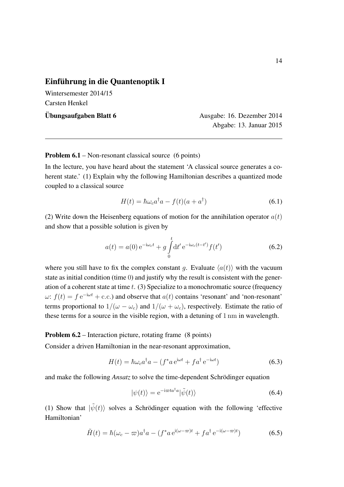## Einführung in die Quantenoptik I

Wintersemester 2014/15 Carsten Henkel

Ubungsaufgaben Blatt 6 ¨ Ausgabe: 16. Dezember 2014 Abgabe: 13. Januar 2015

Problem 6.1 – Non-resonant classical source (6 points)

In the lecture, you have heard about the statement 'A classical source generates a coherent state.' (1) Explain why the following Hamiltonian describes a quantized mode coupled to a classical source

$$
H(t) = \hbar \omega_c a^\dagger a - f(t)(a + a^\dagger) \tag{6.1}
$$

(2) Write down the Heisenberg equations of motion for the annihilation operator *a*(*t*) and show that a possible solution is given by

$$
a(t) = a(0) e^{-i\omega_c t} + g \int_0^t dt' e^{-i\omega_c (t - t')} f(t')
$$
 (6.2)

where you still have to fix the complex constant *g*. Evaluate  $\langle a(t) \rangle$  with the vacuum state as initial condition (time 0) and justify why the result is consistent with the generation of a coherent state at time *t*. (3) Specialize to a monochromatic source (frequency  $\omega$ :  $f(t) = f e^{-i\omega t} + c.c.$ ) and observe that  $a(t)$  contains 'resonant' and 'non-resonant' terms proportional to  $1/(\omega - \omega_c)$  and  $1/(\omega + \omega_c)$ , respectively. Estimate the ratio of these terms for a source in the visible region, with a detuning of 1 nm in wavelength.

## Problem 6.2 – Interaction picture, rotating frame (8 points)

Consider a driven Hamiltonian in the near-resonant approximation,

$$
H(t) = \hbar \omega_c a^{\dagger} a - (f^* a e^{i\omega t} + f a^{\dagger} e^{-i\omega t})
$$
\n(6.3)

and make the following *Ansatz* to solve the time-dependent Schrödinger equation

$$
|\psi(t)\rangle = e^{-i\varpi t a^{\dagger} a} |\tilde{\psi}(t)\rangle
$$
\n(6.4)

(1) Show that  $|\tilde{\psi}(t)\rangle$  solves a Schrödinger equation with the following 'effective Hamiltonian'

$$
\tilde{H}(t) = \hbar(\omega_c - \varpi)a^{\dagger}a - (f^*a e^{i(\omega - \varpi)t} + fa^{\dagger} e^{-i(\omega - \varpi)t})
$$
\n(6.5)